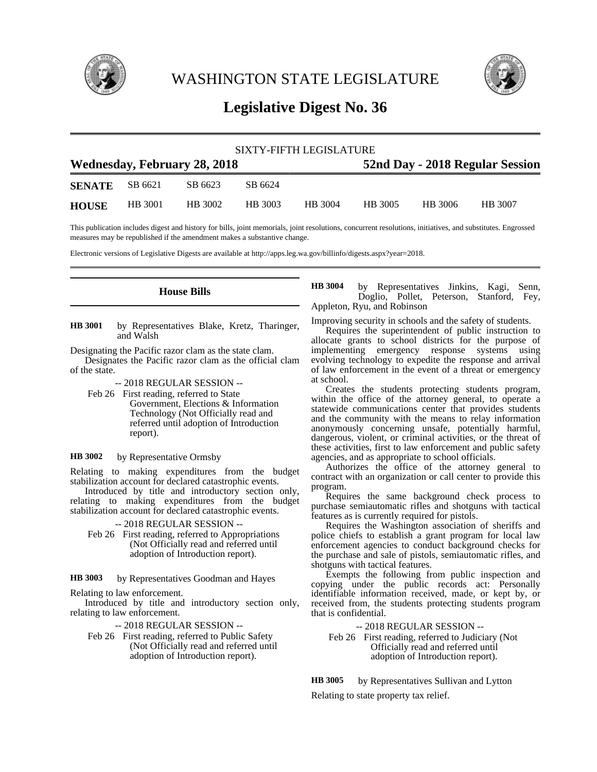

WASHINGTON STATE LEGISLATURE



## **Legislative Digest No. 36**

| SIXTY-FIFTH LEGISLATURE             |         |         |         |         |                                 |         |         |  |
|-------------------------------------|---------|---------|---------|---------|---------------------------------|---------|---------|--|
| <b>Wednesday, February 28, 2018</b> |         |         |         |         | 52nd Day - 2018 Regular Session |         |         |  |
| <b>SENATE</b>                       | SB 6621 | SB 6623 | SB 6624 |         |                                 |         |         |  |
| <b>HOUSE</b>                        | HB 3001 | HB 3002 | HB 3003 | HB 3004 | HB 3005                         | HB 3006 | HB 3007 |  |

This publication includes digest and history for bills, joint memorials, joint resolutions, concurrent resolutions, initiatives, and substitutes. Engrossed measures may be republished if the amendment makes a substantive change.

Electronic versions of Legislative Digests are available at http://apps.leg.wa.gov/billinfo/digests.aspx?year=2018.

**House Bills**

by Representatives Blake, Kretz, Tharinger, and Walsh **HB 3001**

Designating the Pacific razor clam as the state clam. Designates the Pacific razor clam as the official clam of the state.

-- 2018 REGULAR SESSION --

Feb 26 First reading, referred to State Government, Elections & Information Technology (Not Officially read and referred until adoption of Introduction report).

by Representative Ormsby **HB 3002**

Relating to making expenditures from the budget stabilization account for declared catastrophic events.

Introduced by title and introductory section only, relating to making expenditures from the budget stabilization account for declared catastrophic events.

-- 2018 REGULAR SESSION --

Feb 26 First reading, referred to Appropriations (Not Officially read and referred until adoption of Introduction report).

by Representatives Goodman and Hayes **HB 3003**

Relating to law enforcement.

Introduced by title and introductory section only, relating to law enforcement.

-- 2018 REGULAR SESSION --

Feb 26 First reading, referred to Public Safety (Not Officially read and referred until adoption of Introduction report).

by Representatives Jinkins, Kagi, Senn, Doglio, Pollet, Peterson, Stanford, Fey, Appleton, Ryu, and Robinson **HB 3004**

Improving security in schools and the safety of students.

Requires the superintendent of public instruction to allocate grants to school districts for the purpose of implementing emergency response systems using evolving technology to expedite the response and arrival of law enforcement in the event of a threat or emergency at school.

Creates the students protecting students program, within the office of the attorney general, to operate a statewide communications center that provides students and the community with the means to relay information anonymously concerning unsafe, potentially harmful, dangerous, violent, or criminal activities, or the threat of these activities, first to law enforcement and public safety agencies, and as appropriate to school officials.

Authorizes the office of the attorney general to contract with an organization or call center to provide this program.

Requires the same background check process to purchase semiautomatic rifles and shotguns with tactical features as is currently required for pistols.

Requires the Washington association of sheriffs and police chiefs to establish a grant program for local law enforcement agencies to conduct background checks for the purchase and sale of pistols, semiautomatic rifles, and shotguns with tactical features.

Exempts the following from public inspection and copying under the public records act: Personally identifiable information received, made, or kept by, or received from, the students protecting students program that is confidential.

-- 2018 REGULAR SESSION --

Feb 26 First reading, referred to Judiciary (Not Officially read and referred until adoption of Introduction report).

by Representatives Sullivan and Lytton Relating to state property tax relief. **HB 3005**